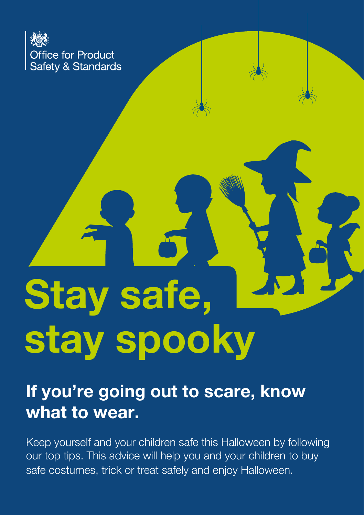

# Stay safe, stay spooky

# If you're going out to scare, know what to wear.

Keep yourself and your children safe this Halloween by following our top tips. This advice will help you and your children to buy safe costumes, trick or treat safely and enjoy Halloween.